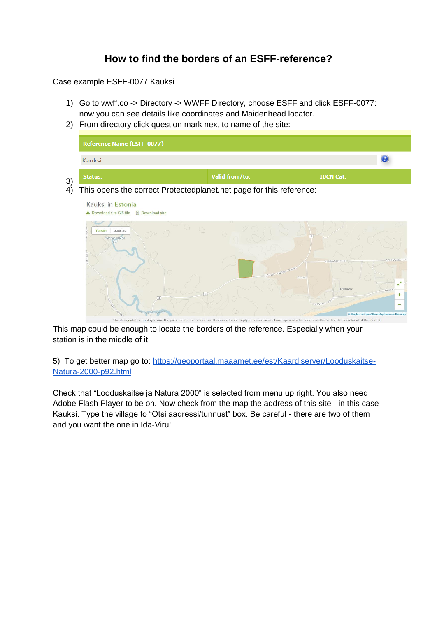## **How to find the borders of an ESFF-reference?**

Case example ESFF-0077 Kauksi

- 1) Go to wwff.co -> Directory -> WWFF Directory, choose ESFF and click ESFF-0077: now you can see details like coordinates and Maidenhead locator.
- 2) From directory click question mark next to name of the site:



4) This opens the correct Protectedplanet.net page for this reference:



This map could be enough to locate the borders of the reference. Especially when your station is in the middle of it

5) To get better map go to: [https://geoportaal.maaamet.ee/est/Kaardiserver/Looduskaitse-](https://geoportaal.maaamet.ee/est/Kaardiserver/Looduskaitse-Natura-2000-p92.html)[Natura-2000-p92.html](https://geoportaal.maaamet.ee/est/Kaardiserver/Looduskaitse-Natura-2000-p92.html)

Check that "Looduskaitse ja Natura 2000" is selected from menu up right. You also need Adobe Flash Player to be on. Now check from the map the address of this site - in this case Kauksi. Type the village to "Otsi aadressi/tunnust" box. Be careful - there are two of them and you want the one in Ida-Viru!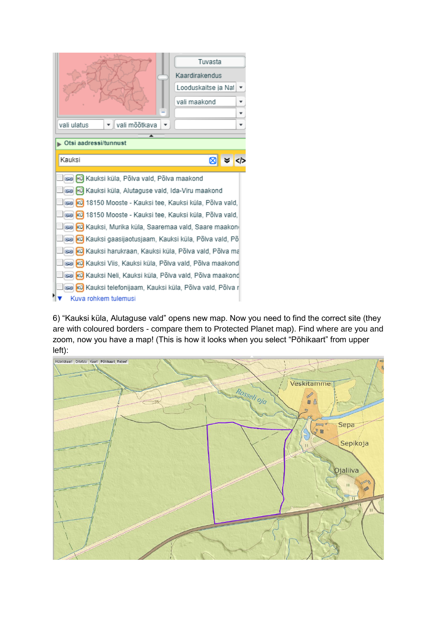|                                                                                                         | Tuvasta<br>Kaardirakendus<br>Looduskaitse ja Nai<br>vali maakond |
|---------------------------------------------------------------------------------------------------------|------------------------------------------------------------------|
| vali mõõtkava<br>vali ulatus                                                                            |                                                                  |
| ▲                                                                                                       |                                                                  |
| Otsi aadressi/tunnust                                                                                   |                                                                  |
| Kauksi                                                                                                  | $8 \times 12$                                                    |
|                                                                                                         |                                                                  |
| sa nü Kauksi küla, Põlva vald, Põlva maakond                                                            |                                                                  |
| Hu Kauksi küla, Alutaguse vald, Ida-Viru maakond<br>C-D                                                 |                                                                  |
| ෂෙ) <mark>kü</mark> 18150 Mooste - Kauksi tee, Kauksi küla, Põlva vald,                                 |                                                                  |
| sa kü 18150 Mooste - Kauksi tee, Kauksi küla, Põlva vald,                                               |                                                                  |
| මෙ <mark>i</mark> kü <mark>l</mark> Kauksi, Murika küla, Saaremaa vald, Saare maakon(                   |                                                                  |
| මෙ <mark>kü</mark> Kauksi gaasijaotusjaam, Kauksi küla, Põlva vald, Põ                                  |                                                                  |
| kü Kauksi harukraan, Kauksi küla, Põlva vald, Põlva ma<br>C-D                                           |                                                                  |
| kü Kauksi Viis, Kauksi küla, Põlva vald, Põlva maakond<br>C-D                                           |                                                                  |
| kü Kauksi Neli, Kauksi küla, Põlva vald, Põlva maakond<br>CD.                                           |                                                                  |
| kü <mark>l</mark> Kauksi telefonijaam, Kauksi küla, Põlva vald, Põlva r<br>$\left( \frac{1}{2} \right)$ |                                                                  |
| Kuva rohkem tulemusi                                                                                    |                                                                  |

6) "Kauksi küla, Alutaguse vald" opens new map. Now you need to find the correct site (they are with coloured borders - compare them to Protected Planet map). Find where are you and zoom, now you have a map! (This is how it looks when you select "Põhikaart" from upper left):